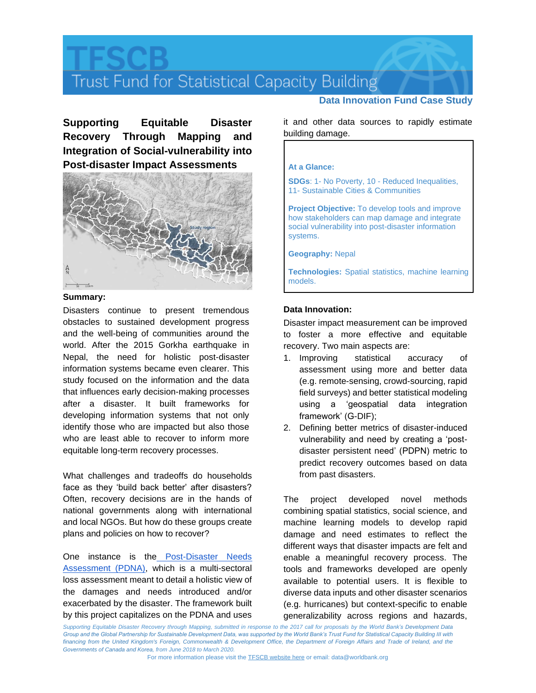# Trust Fund for Statistical Capacity Building

**Supporting Equitable Disaster Recovery Through Mapping and Integration of Social-vulnerability into Post-disaster Impact Assessments**



## **Summary:**

Disasters continue to present tremendous obstacles to sustained development progress and the well-being of communities around the world. After the 2015 Gorkha earthquake in Nepal, the need for holistic post-disaster information systems became even clearer. This study focused on the information and the data that influences early decision-making processes after a disaster. It built frameworks for developing information systems that not only identify those who are impacted but also those who are least able to recover to inform more equitable long-term recovery processes.

What challenges and tradeoffs do households face as they 'build back better' after disasters? Often, recovery decisions are in the hands of national governments along with international and local NGOs. But how do these groups create plans and policies on how to recover?

One instance is the [Post-Disaster Needs](https://www.nepalhousingreconstruction.org/sites/nuh/files/2017-03/PDNA%20Volume%20A%20Final.pdf)  [Assessment \(PDNA\),](https://www.nepalhousingreconstruction.org/sites/nuh/files/2017-03/PDNA%20Volume%20A%20Final.pdf) which is a multi-sectoral loss assessment meant to detail a holistic view of the damages and needs introduced and/or exacerbated by the disaster. The framework built by this project capitalizes on the PDNA and uses

## **Data Innovation Fund Case Study**

it and other data sources to rapidly estimate building damage.

## **At a Glance:**

**SDGs**: 1- No Poverty, 10 - Reduced Inequalities, 11- Sustainable Cities & Communities

**Project Objective:** To develop tools and improve how stakeholders can map damage and integrate social vulnerability into post-disaster information systems.

**Geography:** Nepal

**Technologies:** Spatial statistics, machine learning models.

## **Data Innovation:**

Disaster impact measurement can be improved to foster a more effective and equitable recovery. Two main aspects are:

- 1. Improving statistical accuracy of assessment using more and better data (e.g. remote-sensing, crowd-sourcing, rapid field surveys) and better statistical modeling using a 'geospatial data integration framework' (G-DIF);
- 2. Defining better metrics of disaster-induced vulnerability and need by creating a 'postdisaster persistent need' (PDPN) metric to predict recovery outcomes based on data from past disasters.

The project developed novel methods combining spatial statistics, social science, and machine learning models to develop rapid damage and need estimates to reflect the different ways that disaster impacts are felt and enable a meaningful recovery process. The tools and frameworks developed are openly available to potential users. It is flexible to diverse data inputs and other disaster scenarios (e.g. hurricanes) but context-specific to enable generalizability across regions and hazards,

*Supporting Equitable Disaster Recovery through Mapping, submitted in response to the 2017 call for proposals by the World Bank's Development Data Group and the Global Partnership for Sustainable Development Data, was supported by the World Bank's Trust Fund for Statistical Capacity Building III with*  financing from the United Kingdom's Foreign, Commonwealth & Development Office, the Department of Foreign Affairs and Trade of Ireland, and the *Governments of Canada and Korea, from June 2018 to March 2020.*